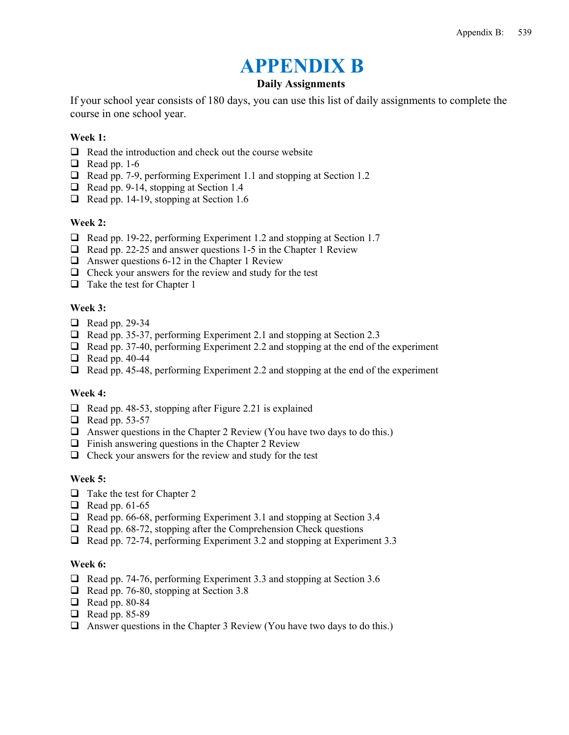# **APPENDIX B**

## **Daily Assignments**

If your school year consists of 180 days, you can use this list of daily assignments to complete the course in one school year.

## **Week 1:**

- $\Box$  Read the introduction and check out the course website
- $\Box$  Read pp. 1-6
- $\Box$  Read pp. 7-9, performing Experiment 1.1 and stopping at Section 1.2
- $\Box$  Read pp. 9-14, stopping at Section 1.4
- $\Box$  Read pp. 14-19, stopping at Section 1.6

#### **Week 2:**

- $\Box$  Read pp. 19-22, performing Experiment 1.2 and stopping at Section 1.7
- $\Box$  Read pp. 22-25 and answer questions 1-5 in the Chapter 1 Review
- $\Box$  Answer questions 6-12 in the Chapter 1 Review
- $\Box$  Check your answers for the review and study for the test
- $\Box$  Take the test for Chapter 1

#### **Week 3:**

- $\Box$  Read pp. 29-34
- $\Box$  Read pp. 35-37, performing Experiment 2.1 and stopping at Section 2.3
- $\Box$  Read pp. 37-40, performing Experiment 2.2 and stopping at the end of the experiment
- $\Box$  Read pp. 40-44
- $\Box$  Read pp. 45-48, performing Experiment 2.2 and stopping at the end of the experiment

#### **Week 4:**

- $\Box$  Read pp. 48-53, stopping after Figure 2.21 is explained
- $\Box$  Read pp. 53-57
- $\Box$  Answer questions in the Chapter 2 Review (You have two days to do this.)
- $\Box$  Finish answering questions in the Chapter 2 Review
- $\Box$  Check your answers for the review and study for the test

#### **Week 5:**

- $\Box$  Take the test for Chapter 2
- $\Box$  Read pp. 61-65
- $\Box$  Read pp. 66-68, performing Experiment 3.1 and stopping at Section 3.4
- $\Box$  Read pp. 68-72, stopping after the Comprehension Check questions
- Read pp. 72-74, performing Experiment 3.2 and stopping at Experiment 3.3

#### **Week 6:**

- □ Read pp. 74-76, performing Experiment 3.3 and stopping at Section 3.6
- Read pp. 76-80, stopping at Section 3.8
- Read pp. 80-84
- **Q** Read pp. 85-89
- $\Box$  Answer questions in the Chapter 3 Review (You have two days to do this.)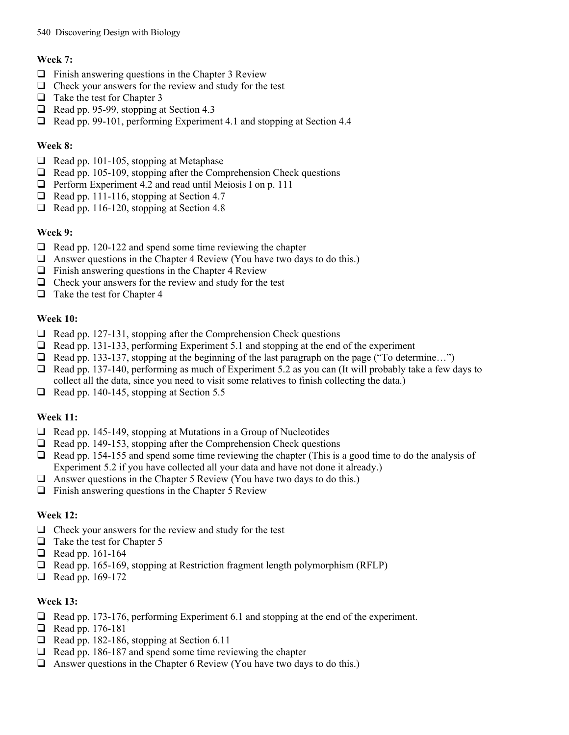## 540 Discovering Design with Biology

# **Week 7:**

- $\Box$  Finish answering questions in the Chapter 3 Review
- $\Box$  Check your answers for the review and study for the test
- $\Box$  Take the test for Chapter 3
- $\Box$  Read pp. 95-99, stopping at Section 4.3
- Read pp. 99-101, performing Experiment 4.1 and stopping at Section 4.4

# **Week 8:**

- $\Box$  Read pp. 101-105, stopping at Metaphase
- $\Box$  Read pp. 105-109, stopping after the Comprehension Check questions
- $\Box$  Perform Experiment 4.2 and read until Meiosis I on p. 111
- $\Box$  Read pp. 111-116, stopping at Section 4.7
- $\Box$  Read pp. 116-120, stopping at Section 4.8

## **Week 9:**

- $\Box$  Read pp. 120-122 and spend some time reviewing the chapter
- $\Box$  Answer questions in the Chapter 4 Review (You have two days to do this.)
- $\Box$  Finish answering questions in the Chapter 4 Review
- $\Box$  Check your answers for the review and study for the test
- $\Box$  Take the test for Chapter 4

## **Week 10:**

- $\Box$  Read pp. 127-131, stopping after the Comprehension Check questions
- $\Box$  Read pp. 131-133, performing Experiment 5.1 and stopping at the end of the experiment
- □ Read pp. 133-137, stopping at the beginning of the last paragraph on the page ("To determine...")
- $\Box$  Read pp. 137-140, performing as much of Experiment 5.2 as you can (It will probably take a few days to collect all the data, since you need to visit some relatives to finish collecting the data.)
- $\Box$  Read pp. 140-145, stopping at Section 5.5

# **Week 11:**

- $\Box$  Read pp. 145-149, stopping at Mutations in a Group of Nucleotides
- $\Box$  Read pp. 149-153, stopping after the Comprehension Check questions
- $\Box$  Read pp. 154-155 and spend some time reviewing the chapter (This is a good time to do the analysis of Experiment 5.2 if you have collected all your data and have not done it already.)
- $\Box$  Answer questions in the Chapter 5 Review (You have two days to do this.)
- $\Box$  Finish answering questions in the Chapter 5 Review

# **Week 12:**

- $\Box$  Check your answers for the review and study for the test
- $\Box$  Take the test for Chapter 5
- Read pp. 161-164
- Read pp. 165-169, stopping at Restriction fragment length polymorphism (RFLP)
- Read pp. 169-172

# **Week 13:**

- $\Box$  Read pp. 173-176, performing Experiment 6.1 and stopping at the end of the experiment.
- Read pp. 176-181
- $\Box$  Read pp. 182-186, stopping at Section 6.11
- $\Box$  Read pp. 186-187 and spend some time reviewing the chapter
- $\Box$  Answer questions in the Chapter 6 Review (You have two days to do this.)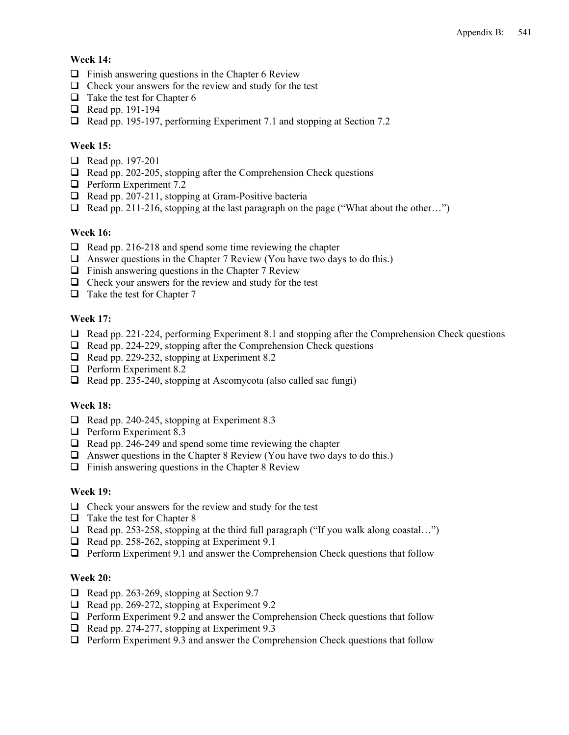## **Week 14:**

- $\Box$  Finish answering questions in the Chapter 6 Review
- $\Box$  Check your answers for the review and study for the test
- $\Box$  Take the test for Chapter 6
- Read pp. 191-194
- □ Read pp. 195-197, performing Experiment 7.1 and stopping at Section 7.2

## **Week 15:**

- Read pp. 197-201
- $\Box$  Read pp. 202-205, stopping after the Comprehension Check questions
- **D** Perform Experiment 7.2
- $\Box$  Read pp. 207-211, stopping at Gram-Positive bacteria
- $\Box$  Read pp. 211-216, stopping at the last paragraph on the page ("What about the other...")

#### **Week 16:**

- $\Box$  Read pp. 216-218 and spend some time reviewing the chapter
- $\Box$  Answer questions in the Chapter 7 Review (You have two days to do this.)
- $\Box$  Finish answering questions in the Chapter 7 Review
- $\Box$  Check your answers for the review and study for the test
- $\Box$  Take the test for Chapter 7

#### **Week 17:**

- $\Box$  Read pp. 221-224, performing Experiment 8.1 and stopping after the Comprehension Check questions
- $\Box$  Read pp. 224-229, stopping after the Comprehension Check questions
- Read pp. 229-232, stopping at Experiment 8.2
- **D** Perform Experiment 8.2
- Read pp. 235-240, stopping at Ascomycota (also called sac fungi)

#### **Week 18:**

- $\Box$  Read pp. 240-245, stopping at Experiment 8.3
- $\Box$  Perform Experiment 8.3
- $\Box$  Read pp. 246-249 and spend some time reviewing the chapter
- $\Box$  Answer questions in the Chapter 8 Review (You have two days to do this.)
- $\Box$  Finish answering questions in the Chapter 8 Review

#### **Week 19:**

- $\Box$  Check your answers for the review and study for the test
- $\Box$  Take the test for Chapter 8
- $\Box$  Read pp. 253-258, stopping at the third full paragraph ("If you walk along coastal...")
- $\Box$  Read pp. 258-262, stopping at Experiment 9.1
- $\Box$  Perform Experiment 9.1 and answer the Comprehension Check questions that follow

#### **Week 20:**

- $\Box$  Read pp. 263-269, stopping at Section 9.7
- $\Box$  Read pp. 269-272, stopping at Experiment 9.2
- $\Box$  Perform Experiment 9.2 and answer the Comprehension Check questions that follow
- $\Box$  Read pp. 274-277, stopping at Experiment 9.3
- $\Box$  Perform Experiment 9.3 and answer the Comprehension Check questions that follow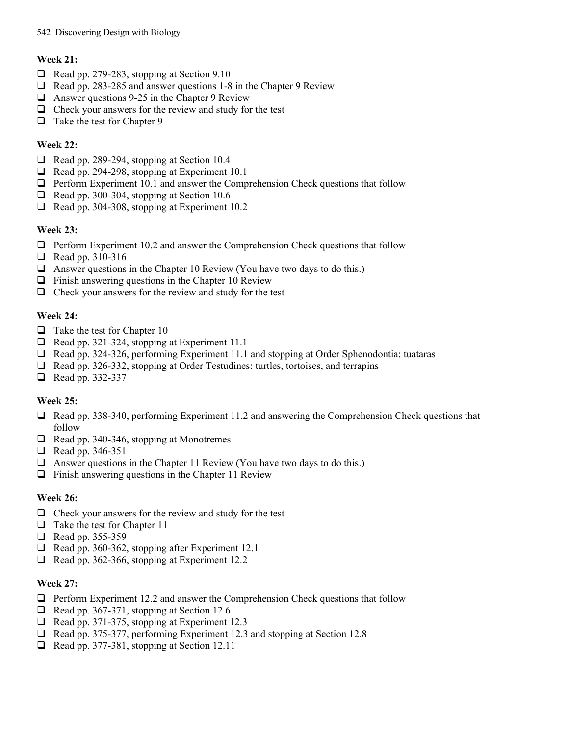## 542 Discovering Design with Biology

## **Week 21:**

- $\Box$  Read pp. 279-283, stopping at Section 9.10
- □ Read pp. 283-285 and answer questions 1-8 in the Chapter 9 Review
- $\Box$  Answer questions 9-25 in the Chapter 9 Review
- $\Box$  Check your answers for the review and study for the test
- $\Box$  Take the test for Chapter 9

# **Week 22:**

- $\Box$  Read pp. 289-294, stopping at Section 10.4
- $\Box$  Read pp. 294-298, stopping at Experiment 10.1
- $\Box$  Perform Experiment 10.1 and answer the Comprehension Check questions that follow
- $\Box$  Read pp. 300-304, stopping at Section 10.6
- $\Box$  Read pp. 304-308, stopping at Experiment 10.2

# **Week 23:**

- $\Box$  Perform Experiment 10.2 and answer the Comprehension Check questions that follow
- $\Box$  Read pp. 310-316
- $\Box$  Answer questions in the Chapter 10 Review (You have two days to do this.)
- $\Box$  Finish answering questions in the Chapter 10 Review
- $\Box$  Check your answers for the review and study for the test

## **Week 24:**

- $\Box$  Take the test for Chapter 10
- $\Box$  Read pp. 321-324, stopping at Experiment 11.1
- Read pp. 324-326, performing Experiment 11.1 and stopping at Order Sphenodontia: tuataras
- Read pp. 326-332, stopping at Order Testudines: turtles, tortoises, and terrapins
- $\Box$  Read pp. 332-337

# **Week 25:**

- Read pp. 338-340, performing Experiment 11.2 and answering the Comprehension Check questions that follow
- $\Box$  Read pp. 340-346, stopping at Monotremes
- $\Box$  Read pp. 346-351
- $\Box$  Answer questions in the Chapter 11 Review (You have two days to do this.)
- $\Box$  Finish answering questions in the Chapter 11 Review

# **Week 26:**

- $\Box$  Check your answers for the review and study for the test
- $\Box$  Take the test for Chapter 11
- Read pp. 355-359
- $\Box$  Read pp. 360-362, stopping after Experiment 12.1
- $\Box$  Read pp. 362-366, stopping at Experiment 12.2

## **Week 27:**

- $\Box$  Perform Experiment 12.2 and answer the Comprehension Check questions that follow
- $\Box$  Read pp. 367-371, stopping at Section 12.6
- $\Box$  Read pp. 371-375, stopping at Experiment 12.3
- Read pp. 375-377, performing Experiment 12.3 and stopping at Section 12.8
- $\Box$  Read pp. 377-381, stopping at Section 12.11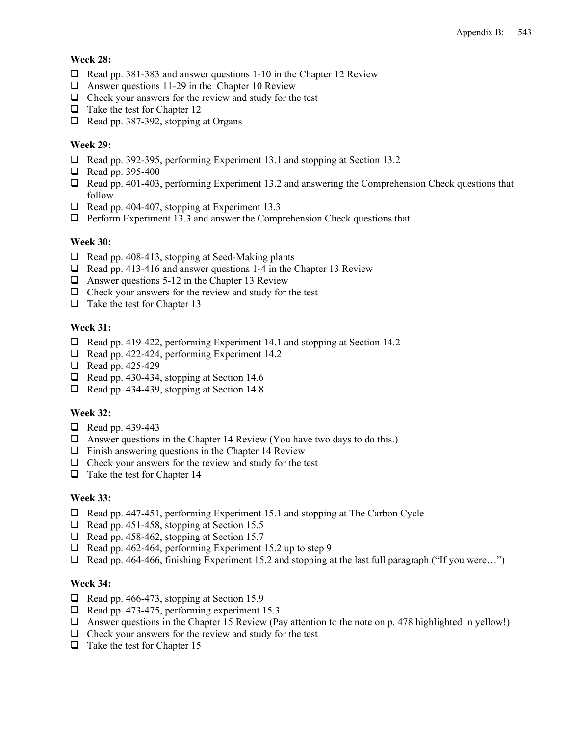## **Week 28:**

- $\Box$  Read pp. 381-383 and answer questions 1-10 in the Chapter 12 Review
- $\Box$  Answer questions 11-29 in the Chapter 10 Review
- $\Box$  Check your answers for the review and study for the test
- $\Box$  Take the test for Chapter 12
- $\Box$  Read pp. 387-392, stopping at Organs

## **Week 29:**

- Read pp. 392-395, performing Experiment 13.1 and stopping at Section 13.2
- $\Box$  Read pp. 395-400
- Read pp. 401-403, performing Experiment 13.2 and answering the Comprehension Check questions that follow
- $\Box$  Read pp. 404-407, stopping at Experiment 13.3
- $\Box$  Perform Experiment 13.3 and answer the Comprehension Check questions that

## **Week 30:**

- $\Box$  Read pp. 408-413, stopping at Seed-Making plants
- $\Box$  Read pp. 413-416 and answer questions 1-4 in the Chapter 13 Review
- $\Box$  Answer questions 5-12 in the Chapter 13 Review
- $\Box$  Check your answers for the review and study for the test
- $\Box$  Take the test for Chapter 13

# **Week 31:**

- □ Read pp. 419-422, performing Experiment 14.1 and stopping at Section 14.2
- $\Box$  Read pp. 422-424, performing Experiment 14.2
- $\Box$  Read pp. 425-429
- $\Box$  Read pp. 430-434, stopping at Section 14.6
- $\Box$  Read pp. 434-439, stopping at Section 14.8

## **Week 32:**

- $\Box$  Read pp. 439-443
- $\Box$  Answer questions in the Chapter 14 Review (You have two days to do this.)
- $\Box$  Finish answering questions in the Chapter 14 Review
- $\Box$  Check your answers for the review and study for the test
- $\Box$  Take the test for Chapter 14

## **Week 33:**

- $\Box$  Read pp. 447-451, performing Experiment 15.1 and stopping at The Carbon Cycle
- $\Box$  Read pp. 451-458, stopping at Section 15.5
- $\Box$  Read pp. 458-462, stopping at Section 15.7
- $\Box$  Read pp. 462-464, performing Experiment 15.2 up to step 9
- □ Read pp. 464-466, finishing Experiment 15.2 and stopping at the last full paragraph ("If you were...")

#### **Week 34:**

- $\Box$  Read pp. 466-473, stopping at Section 15.9
- Read pp. 473-475, performing experiment 15.3
- $\Box$  Answer questions in the Chapter 15 Review (Pay attention to the note on p. 478 highlighted in yellow!)
- $\Box$  Check your answers for the review and study for the test
- $\Box$  Take the test for Chapter 15